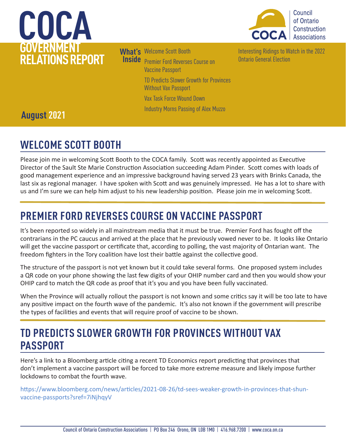



**What's**  Welcome Scott Booth

**Inside** Premier Ford Reverses Course on Vaccine Passport TD Predicts Slower Growth for Provinces

Without Vax Passport

[Vax Task Force Wound Down](#page-1-0) 

[Industry Morns Passing of Alex Muzzo](#page-1-0) 

[Interesting Ridings to Watch in the 2022](#page-2-0)  [Ontario General Election](#page-2-0) 

## **August 2021**

## **WELCOME SCOTT BOOTH**

Please join me in welcoming Scott Booth to the COCA family. Scott was recently appointed as Executive Director of the Sault Ste Marie Construction Association succeeding Adam Pinder. Scott comes with loads of good management experience and an impressive background having served 23 years with Brinks Canada, the last six as regional manager. I have spoken with Scott and was genuinely impressed. He has a lot to share with us and I'm sure we can help him adjust to his new leadership position. Please join me in welcoming Scott.

## **PREMIER FORD REVERSES COURSE ON VACCINE PASSPORT**

It's been reported so widely in all mainstream media that it must be true. Premier Ford has fought off the contrarians in the PC caucus and arrived at the place that he previously vowed never to be. It looks like Ontario will get the vaccine passport or certificate that, according to polling, the vast majority of Ontarian want. The freedom fighters in the Tory coalition have lost their battle against the collective good.

The structure of the passport is not yet known but it could take several forms. One proposed system includes a QR code on your phone showing the last few digits of your OHIP number card and then you would show your OHIP card to match the QR code as proof that it's you and you have been fully vaccinated.

When the Province will actually rollout the passport is not known and some critics say it will be too late to have any positive impact on the fourth wave of the pandemic. It's also not known if the government will prescribe the types of facilities and events that will require proof of vaccine to be shown.

## **TD PREDICTS SLOWER GROWTH FOR PROVINCES WITHOUT VAX PASSPORT**

Here's a link to a Bloomberg article citing a recent TD Economics report predicting that provinces that don't implement a vaccine passport will be forced to take more extreme measure and likely impose further lockdowns to combat the fourth wave.

https://www.bloomberg.com/news/articles/2021-08-26/td-sees-weaker-growth-in-provinces-that-shunvaccine-passports?sref=7iNjhqyV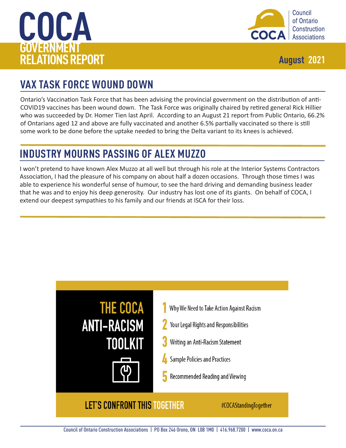<span id="page-1-0"></span>



## **VAX TASK FORCE WOUND DOWN**

Ontario's Vaccination Task Force that has been advising the provincial government on the distribution of anti-COVID19 vaccines has been wound down. The Task Force was originally chaired by retired general Rick Hillier who was succeeded by Dr. Homer Tien last April. According to an August 21 report from Public Ontario, 66.2% of Ontarians aged 12 and above are fully vaccinated and another 6.5% partially vaccinated so there is still some work to be done before the uptake needed to bring the Delta variant to its knees is achieved.

## **INDUSTRY MOURNS PASSING OF ALEX MUZZO**

I won't pretend to have known Alex Muzzo at all well but through his role at the Interior Systems Contractors Association, I had the pleasure of his company on about half a dozen occasions. Through those times I was able to experience his wonderful sense of humour, to see the hard driving and demanding business leader that he was and to enjoy his deep generosity. Our industry has lost one of its giants. On behalf of COCA, I extend our deepest sympathies to his family and our friends at ISCA for their loss.

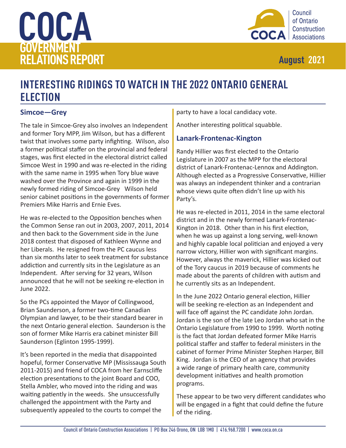<span id="page-2-0"></span>



## **INTERESTING RIDINGS TO WATCH IN THE 2022 ONTARIO GENERAL ELECTION**

### **Simcoe—Grey**

The tale in Simcoe-Grey also involves an Independent and former Tory MPP, Jim Wilson, but has a different twist that involves some party infighting. Wilson, also a former political staffer on the provincial and federal stages, was first elected in the electoral district called Simcoe West in 1990 and was re-elected in the riding with the same name in 1995 when Tory blue wave washed over the Province and again in 1999 in the newly formed riding of Simcoe-Grey Wilson held senior cabinet positions in the governments of former Premiers Mike Harris and Ernie Eves.

He was re-elected to the Opposition benches when the Common Sense ran out in 2003, 2007, 2011, 2014 and then back to the Government side in the June 2018 contest that disposed of Kathleen Wynne and her Liberals. He resigned from the PC caucus less than six months later to seek treatment for substance addiction and currently sits in the Legislature as an Independent. After serving for 32 years, Wilson announced that he will not be seeking re-election in June 2022.

So the PCs appointed the Mayor of Collingwood, Brian Saunderson, a former two-time Canadian Olympian and lawyer, to be their standard bearer in the next Ontario general election. Saunderson is the son of former Mike Harris era cabinet minister Bill Saunderson (Eglinton 1995-1999).

It's been reported in the media that disappointed hopeful, former Conservative MP (Mississauga South 2011-2015) and friend of COCA from her Earnscliffe election presentations to the joint Board and COO, Stella Ambler, who moved into the riding and was waiting patiently in the weeds. She unsuccessfully challenged the appointment with the Party and subsequently appealed to the courts to compel the

party to have a local candidacy vote.

Another interesting political squabble.

### **Lanark-Frontenac-Kington**

Randy Hillier was first elected to the Ontario Legislature in 2007 as the MPP for the electoral district of Lanark-Frontenac-Lennox and Addington. Although elected as a Progressive Conservative, Hillier was always an independent thinker and a contrarian whose views quite often didn't line up with his Party's.

He was re-elected in 2011, 2014 in the same electoral district and in the newly formed Lanark-Frontenac-Kington in 2018. Other than in his first election, when he was up against a long serving, well-known and highly capable local politician and enjoyed a very narrow victory, Hillier won with significant margins. However, always the maverick, Hillier was kicked out of the Tory caucus in 2019 because of comments he made about the parents of children with autism and he currently sits as an Independent.

In the June 2022 Ontario general election, Hillier will be seeking re-election as an Independent and will face off against the PC candidate John Jordan. Jordan is the son of the late Leo Jordan who sat in the Ontario Legislature from 1990 to 1999. Worth noting is the fact that Jordan defeated former Mike Harris political staffer and staffer to federal ministers in the cabinet of former Prime Minister Stephen Harper, Bill King. Jordan is the CEO of an agency that provides a wide range of primary health care, community development initiatives and health promotion programs.

These appear to be two very different candidates who will be engaged in a fight that could define the future of the riding.